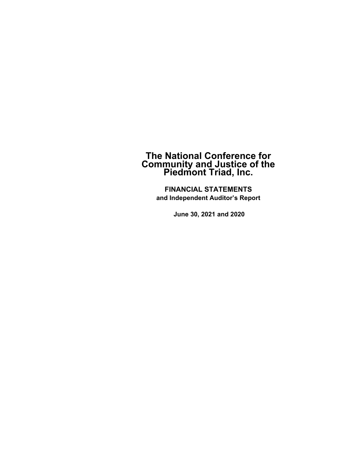**FINANCIAL STATEMENTS and Independent Auditor's Report** 

 **June 30, 2021 and 2020**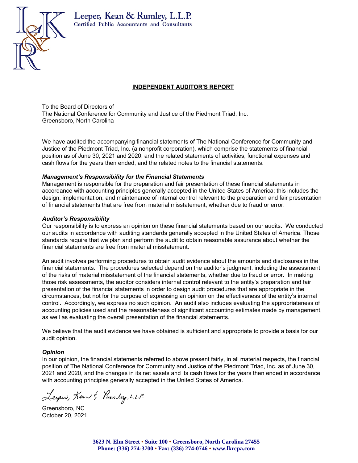

#### Leeper, Kean & Rumley, L.L.P. Certified Public Accountants and Consultants

#### **INDEPENDENT AUDITOR'S REPORT**

To the Board of Directors of The National Conference for Community and Justice of the Piedmont Triad, Inc. Greensboro, North Carolina

We have audited the accompanying financial statements of The National Conference for Community and Justice of the Piedmont Triad, Inc. (a nonprofit corporation), which comprise the statements of financial position as of June 30, 2021 and 2020, and the related statements of activities, functional expenses and cash flows for the years then ended, and the related notes to the financial statements.

#### *Management's Responsibility for the Financial Statements*

Management is responsible for the preparation and fair presentation of these financial statements in accordance with accounting principles generally accepted in the United States of America; this includes the design, implementation, and maintenance of internal control relevant to the preparation and fair presentation of financial statements that are free from material misstatement, whether due to fraud or error.

#### *Auditor's Responsibility*

Our responsibility is to express an opinion on these financial statements based on our audits. We conducted our audits in accordance with auditing standards generally accepted in the United States of America. Those standards require that we plan and perform the audit to obtain reasonable assurance about whether the financial statements are free from material misstatement.

An audit involves performing procedures to obtain audit evidence about the amounts and disclosures in the financial statements. The procedures selected depend on the auditor's judgment, including the assessment of the risks of material misstatement of the financial statements, whether due to fraud or error. In making those risk assessments, the auditor considers internal control relevant to the entity's preparation and fair presentation of the financial statements in order to design audit procedures that are appropriate in the circumstances, but not for the purpose of expressing an opinion on the effectiveness of the entity's internal control. Accordingly, we express no such opinion. An audit also includes evaluating the appropriateness of accounting policies used and the reasonableness of significant accounting estimates made by management, as well as evaluating the overall presentation of the financial statements.

We believe that the audit evidence we have obtained is sufficient and appropriate to provide a basis for our audit opinion.

#### *Opinion*

In our opinion, the financial statements referred to above present fairly, in all material respects, the financial position of The National Conference for Community and Justice of the Piedmont Triad, Inc. as of June 30, 2021 and 2020, and the changes in its net assets and its cash flows for the years then ended in accordance with accounting principles generally accepted in the United States of America.

Leeper, Kean & Rumley, L.L.P.

Greensboro, NC October 20, 2021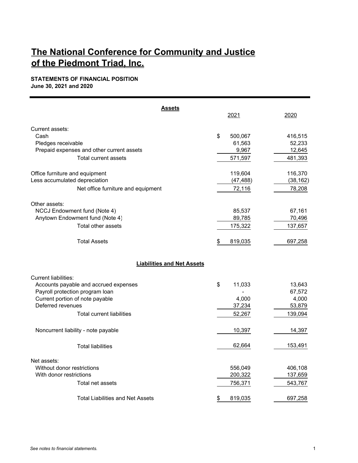#### **STATEMENTS OF FINANCIAL POSITION June 30, 2021 and 2020**

2021 2020 Current assets: Cash \$ 416,515 500,067 Pledges receivable 61,563 52,233 Prepaid expenses and other current assets 6 0 0 0 0 12,645 12,645 Total current assets 671,597 681,393 Office furniture and equipment 119,604 119,604 116,370 Less accumulated depreciation (47,488) (38,162) Net office furniture and equipment 72,116 78,208 Other assets: NCCJ Endowment fund (Note 4) 85,537 67,161 Anytown Endowment fund (Note 4) 89,785 70,496 Total other assets 175,322 137,657 Total Assets 697,258 Current liabilities: Accounts payable and accrued expenses 11,033 **13,643** Payroll protection program loan and the state of the state of the state of the state of the 67,572 Current portion of note payable 4,000 4,000 Deferred revenues 37,234 53,879 Total current liabilities 139,094 Noncurrent liability - note payable 10,397 14,397 Total liabilities 153,491 62,664 62,664 153,491 Net assets: Without donor restrictions and the state of the state of the state of the state of the state of the state of the state of the state of the state of the state of the state of the state of the state of the state of the state With donor restrictions 200,322 137,659 Total net assets 756,371 543,767 Total Liabilities and Net Assets **\$ 697,258** 819,035 697,258 **Assets Liabilities and Net Assets**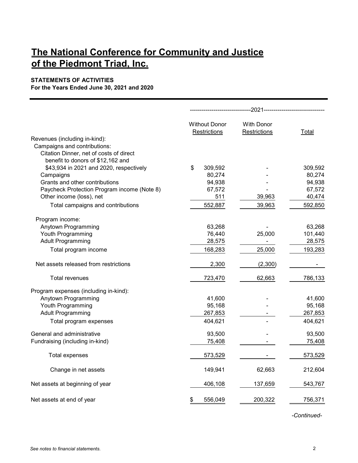#### **STATEMENTS OF ACTIVITIES**

**For the Years Ended June 30, 2021 and 2020**

|                                                                         | <b>Without Donor</b> | <b>With Donor</b> |         |
|-------------------------------------------------------------------------|----------------------|-------------------|---------|
|                                                                         | Restrictions         | Restrictions      | Total   |
| Revenues (including in-kind):                                           |                      |                   |         |
| Campaigns and contributions:<br>Citation Dinner, net of costs of direct |                      |                   |         |
| benefit to donors of \$12,162 and                                       |                      |                   |         |
| \$43,934 in 2021 and 2020, respectively                                 | \$<br>309,592        |                   | 309,592 |
| Campaigns                                                               | 80,274               |                   | 80,274  |
| Grants and other contributions                                          | 94,938               |                   | 94,938  |
| Paycheck Protection Program income (Note 8)                             | 67,572               |                   | 67,572  |
| Other income (loss), net                                                | 511                  | 39,963            | 40,474  |
| Total campaigns and contributions                                       | 552,887              | 39,963            | 592,850 |
|                                                                         |                      |                   |         |
| Program income:                                                         |                      |                   |         |
| Anytown Programming                                                     | 63,268               |                   | 63,268  |
| Youth Programming                                                       | 76,440               | 25,000            | 101,440 |
| <b>Adult Programming</b>                                                | 28,575               |                   | 28,575  |
| Total program income                                                    | 168,283              | 25,000            | 193,283 |
| Net assets released from restrictions                                   | 2,300                | (2,300)           |         |
| <b>Total revenues</b>                                                   | 723,470              | 62,663            | 786,133 |
| Program expenses (including in-kind):                                   |                      |                   |         |
| Anytown Programming                                                     | 41,600               |                   | 41,600  |
| Youth Programming                                                       | 95,168               |                   | 95,168  |
| <b>Adult Programming</b>                                                | 267,853              |                   | 267,853 |
| Total program expenses                                                  | 404,621              |                   | 404,621 |
| General and administrative                                              | 93,500               |                   | 93,500  |
| Fundraising (including in-kind)                                         | 75,408               |                   | 75,408  |
| <b>Total expenses</b>                                                   | 573,529              |                   | 573,529 |
| Change in net assets                                                    | 149,941              | 62,663            | 212,604 |
| Net assets at beginning of year                                         | 406,108              | 137,659           | 543,767 |
| Net assets at end of year                                               | 556,049<br>\$        | 200,322           | 756,371 |

*-Continued-*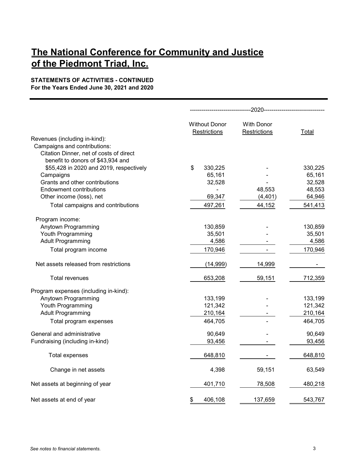#### **STATEMENTS OF ACTIVITIES - CONTINUED For the Years Ended June 30, 2021 and 2020**

|                                         | <b>Without Donor</b> | <b>With Donor</b> |         |
|-----------------------------------------|----------------------|-------------------|---------|
|                                         | Restrictions         | Restrictions      | Total   |
| Revenues (including in-kind):           |                      |                   |         |
| Campaigns and contributions:            |                      |                   |         |
| Citation Dinner, net of costs of direct |                      |                   |         |
| benefit to donors of \$43,934 and       |                      |                   |         |
| \$55,428 in 2020 and 2019, respectively | 330,225<br>\$        |                   | 330,225 |
| Campaigns                               | 65,161               |                   | 65,161  |
| Grants and other contributions          | 32,528               |                   | 32,528  |
| <b>Endowment contributions</b>          |                      | 48,553            | 48,553  |
| Other income (loss), net                | 69,347               | (4, 401)          | 64,946  |
| Total campaigns and contributions       | 497,261              | 44,152            | 541,413 |
| Program income:                         |                      |                   |         |
| Anytown Programming                     | 130,859              |                   | 130,859 |
| Youth Programming                       | 35,501               |                   | 35,501  |
| <b>Adult Programming</b>                | 4,586                |                   | 4,586   |
| Total program income                    | 170,946              |                   | 170,946 |
| Net assets released from restrictions   | (14,999)             | 14,999            |         |
| Total revenues                          | 653,208              | 59,151            | 712,359 |
| Program expenses (including in-kind):   |                      |                   |         |
| Anytown Programming                     | 133,199              |                   | 133,199 |
| Youth Programming                       | 121,342              |                   | 121,342 |
| <b>Adult Programming</b>                | 210,164              |                   | 210,164 |
| Total program expenses                  | 464,705              |                   | 464,705 |
| General and administrative              | 90,649               |                   | 90,649  |
| Fundraising (including in-kind)         | 93,456               |                   | 93,456  |
| <b>Total expenses</b>                   | 648,810              |                   | 648,810 |
| Change in net assets                    | 4,398                | 59,151            | 63,549  |
| Net assets at beginning of year         | 401,710              | 78,508            | 480,218 |
| Net assets at end of year               | 406,108<br>\$        | 137,659           | 543,767 |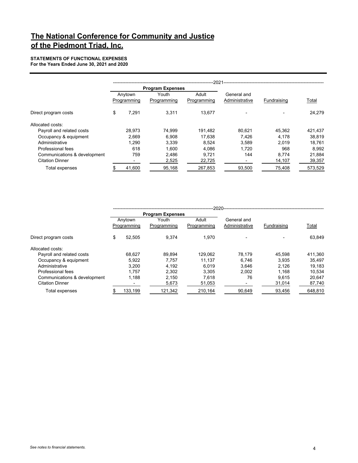**STATEMENTS OF FUNCTIONAL EXPENSES For the Years Ended June 30, 2021 and 2020**

|                              |                        |                         | .2021.               |                               |             |         |
|------------------------------|------------------------|-------------------------|----------------------|-------------------------------|-------------|---------|
|                              |                        | <b>Program Expenses</b> |                      |                               |             |         |
|                              | Anytown<br>Programming | Youth<br>Programming    | Adult<br>Programming | General and<br>Administrative | Fundraising | Total   |
| Direct program costs         | \$<br>7.291            | 3.311                   | 13.677               |                               |             | 24.279  |
| Allocated costs:             |                        |                         |                      |                               |             |         |
| Payroll and related costs    | 28.973                 | 74.999                  | 191.482              | 80.621                        | 45.362      | 421,437 |
| Occupancy & equipment        | 2.669                  | 6.908                   | 17,638               | 7.426                         | 4.178       | 38,819  |
| Administrative               | 1.290                  | 3.339                   | 8.524                | 3.589                         | 2.019       | 18.761  |
| Professional fees            | 618                    | 1.600                   | 4.086                | 1.720                         | 968         | 8.992   |
| Communications & development | 759                    | 2,486                   | 9.721                | 144                           | 8,774       | 21,884  |
| <b>Citation Dinner</b>       |                        | 2,525                   | 22,725               |                               | 14,107      | 39,357  |
| Total expenses               | 41,600                 | 95,168                  | 267,853              | 93,500                        | 75,408      | 573,529 |

|                              | .2020. |                        |                         |                      |                               |             |         |
|------------------------------|--------|------------------------|-------------------------|----------------------|-------------------------------|-------------|---------|
|                              |        |                        | <b>Program Expenses</b> |                      |                               |             |         |
|                              |        | Anytown<br>Programming | Youth<br>Programming    | Adult<br>Programming | General and<br>Administrative | Fundraising | Total   |
| Direct program costs         | \$     | 52.505                 | 9.374                   | 1.970                |                               |             | 63.849  |
| Allocated costs:             |        |                        |                         |                      |                               |             |         |
| Payroll and related costs    |        | 68.627                 | 89.894                  | 129.062              | 78.179                        | 45.598      | 411,360 |
| Occupancy & equipment        |        | 5.922                  | 7.757                   | 11.137               | 6.746                         | 3.935       | 35.497  |
| Administrative               |        | 3.200                  | 4.192                   | 6.019                | 3.646                         | 2.126       | 19,183  |
| Professional fees            |        | 1.757                  | 2.302                   | 3.305                | 2.002                         | 1.168       | 10.534  |
| Communications & development |        | 1.188                  | 2.150                   | 7.618                | 76                            | 9.615       | 20.647  |
| <b>Citation Dinner</b>       |        |                        | 5,673                   | 51,053               |                               | 31,014      | 87,740  |
| Total expenses               |        | 133.199                | 121.342                 | 210.164              | 90.649                        | 93.456      | 648.810 |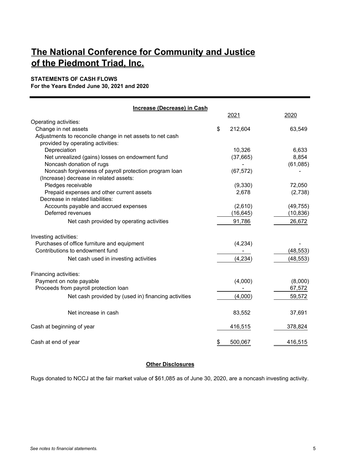#### **STATEMENTS OF CASH FLOWS**

**For the Years Ended June 30, 2021 and 2020**

| Increase (Decrease) in Cash                               |               |           |
|-----------------------------------------------------------|---------------|-----------|
|                                                           | 2021          | 2020      |
| Operating activities:                                     |               |           |
| Change in net assets                                      | \$<br>212,604 | 63,549    |
| Adjustments to reconcile change in net assets to net cash |               |           |
| provided by operating activities:                         |               |           |
| Depreciation                                              | 10,326        | 6,633     |
| Net unrealized (gains) losses on endowment fund           | (37,665)      | 8,854     |
| Noncash donation of rugs                                  |               | (61,085)  |
| Noncash forgiveness of payroll protection program loan    | (67, 572)     |           |
| (Increase) decrease in related assets:                    |               |           |
| Pledges receivable                                        | (9, 330)      | 72,050    |
| Prepaid expenses and other current assets                 | 2,678         | (2,738)   |
| Decrease in related liabilities:                          |               |           |
| Accounts payable and accrued expenses                     | (2,610)       | (49, 755) |
| Deferred revenues                                         | (16, 645)     | (10, 836) |
| Net cash provided by operating activities                 | 91,786        | 26,672    |
| Investing activities:                                     |               |           |
| Purchases of office furniture and equipment               | (4, 234)      |           |
| Contributions to endowment fund                           |               | (48, 553) |
| Net cash used in investing activities                     | (4, 234)      | (48, 553) |
| Financing activities:                                     |               |           |
| Payment on note payable                                   | (4,000)       | (8,000)   |
| Proceeds from payroll protection loan                     |               | 67,572    |
| Net cash provided by (used in) financing activities       | (4,000)       | 59,572    |
| Net increase in cash                                      | 83,552        | 37,691    |
| Cash at beginning of year                                 | 416,515       | 378,824   |
| Cash at end of year                                       | \$<br>500,067 | 416,515   |
|                                                           |               |           |

#### **Other Disclosures**

Rugs donated to NCCJ at the fair market value of \$61,085 as of June 30, 2020, are a noncash investing activity.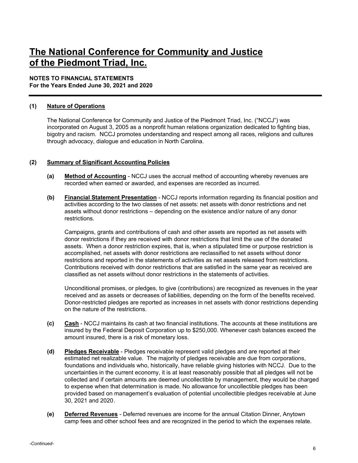#### **NOTES TO FINANCIAL STATEMENTS**

**For the Years Ended June 30, 2021 and 2020** 

#### **(1) Nature of Operations**

The National Conference for Community and Justice of the Piedmont Triad, Inc. ("NCCJ") was incorporated on August 3, 2005 as a nonprofit human relations organization dedicated to fighting bias, bigotry and racism. NCCJ promotes understanding and respect among all races, religions and cultures through advocacy, dialogue and education in North Carolina.

#### **(2) Summary of Significant Accounting Policies**

- **(a) Method of Accounting** NCCJ uses the accrual method of accounting whereby revenues are recorded when earned or awarded, and expenses are recorded as incurred.
- **(b) Financial Statement Presentation** NCCJ reports information regarding its financial position and activities according to the two classes of net assets: net assets with donor restrictions and net assets without donor restrictions – depending on the existence and/or nature of any donor restrictions.

Campaigns, grants and contributions of cash and other assets are reported as net assets with donor restrictions if they are received with donor restrictions that limit the use of the donated assets. When a donor restriction expires, that is, when a stipulated time or purpose restriction is accomplished, net assets with donor restrictions are reclassified to net assets without donor restrictions and reported in the statements of activities as net assets released from restrictions. Contributions received with donor restrictions that are satisfied in the same year as received are classified as net assets without donor restrictions in the statements of activities.

Unconditional promises, or pledges, to give (contributions) are recognized as revenues in the year received and as assets or decreases of liabilities, depending on the form of the benefits received. Donor-restricted pledges are reported as increases in net assets with donor restrictions depending on the nature of the restrictions.

- **(c) Cash** NCCJ maintains its cash at two financial institutions. The accounts at these institutions are insured by the Federal Deposit Corporation up to \$250,000. Whenever cash balances exceed the amount insured, there is a risk of monetary loss.
- **(d) Pledges Receivable** Pledges receivable represent valid pledges and are reported at their estimated net realizable value. The majority of pledges receivable are due from corporations, foundations and individuals who, historically, have reliable giving histories with NCCJ. Due to the uncertainties in the current economy, it is at least reasonably possible that all pledges will not be collected and if certain amounts are deemed uncollectible by management, they would be charged to expense when that determination is made. No allowance for uncollectible pledges has been provided based on management's evaluation of potential uncollectible pledges receivable at June 30, 2021 and 2020 .
- **(e) Deferred Revenues** Deferred revenues are income for the annual Citation Dinner, Anytown camp fees and other school fees and are recognized in the period to which the expenses relate.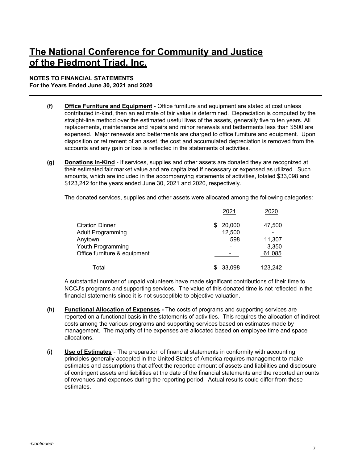#### **NOTES TO FINANCIAL STATEMENTS For the Years Ended June 30, 2021 and 2020**

- **(f) Office Furniture and Equipment** Office furniture and equipment are stated at cost unless contributed in-kind, then an estimate of fair value is determined. Depreciation is computed by the straight-line method over the estimated useful lives of the assets, generally five to ten years. All replacements, maintenance and repairs and minor renewals and betterments less than \$500 are expensed. Major renewals and betterments are charged to office furniture and equipment. Upon disposition or retirement of an asset, the cost and accumulated depreciation is removed from the accounts and any gain or loss is reflected in the statements of activities.
- **(g) Donations In-Kind** If services, supplies and other assets are donated they are recognized at their estimated fair market value and are capitalized if necessary or expensed as utilized. Such amounts, which are included in the accompanying statements of activities, totaled \$33,098 and \$123,242 for the years ended June 30, 2021 and 2020, respectively.

The donated services, supplies and other assets were allocated among the following categories:

|                              | 2021        | 2020           |
|------------------------------|-------------|----------------|
| <b>Citation Dinner</b>       | 20,000<br>S | 47,500         |
| <b>Adult Programming</b>     | 12,500      |                |
| Anytown                      | 598         | 11,307         |
| Youth Programming            |             | 3,350          |
| Office furniture & equipment |             | 61,085         |
| Total                        | 33.098      | <u>123,242</u> |

A substantial number of unpaid volunteers have made significant contributions of their time to NCCJ's programs and supporting services. The value of this donated time is not reflected in the financial statements since it is not susceptible to objective valuation.

- **(h) Functional Allocation of Expenses** The costs of programs and supporting services are reported on a functional basis in the statements of activities. This requires the allocation of indirect costs among the various programs and supporting services based on estimates made by management. The majority of the expenses are allocated based on employee time and space allocations.
- **(i) Use of Estimates** The preparation of financial statements in conformity with accounting principles generally accepted in the United States of America requires management to make estimates and assumptions that affect the reported amount of assets and liabilities and disclosure of contingent assets and liabilities at the date of the financial statements and the reported amounts of revenues and expenses during the reporting period. Actual results could differ from those estimates.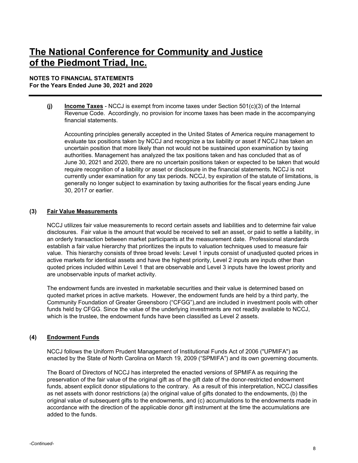#### **NOTES TO FINANCIAL STATEMENTS For the Years Ended June 30, 2021 and 2020**

**(j) Income Taxes** - NCCJ is exempt from income taxes under Section 501(c)(3) of the Internal Revenue Code. Accordingly, no provision for income taxes has been made in the accompanying financial statements.

Accounting principles generally accepted in the United States of America require management to evaluate tax positions taken by NCCJ and recognize a tax liability or asset if NCCJ has taken an uncertain position that more likely than not would not be sustained upon examination by taxing authorities. Management has analyzed the tax positions taken and has concluded that as of June 30, 2021 and 2020, there are no uncertain positions taken or expected to be taken that would require recognition of a liability or asset or disclosure in the financial statements. NCCJ is not currently under examination for any tax periods. NCCJ, by expiration of the statute of limitations, is generally no longer subject to examination by taxing authorities for the fiscal years ending June 30, 2017 or earlier.

#### **(3) Fair Value Measurements**

NCCJ utilizes fair value measurements to record certain assets and liabilities and to determine fair value disclosures. Fair value is the amount that would be received to sell an asset, or paid to settle a liability, in an orderly transaction between market participants at the measurement date. Professional standards establish a fair value hierarchy that prioritizes the inputs to valuation techniques used to measure fair value. This hierarchy consists of three broad levels: Level 1 inputs consist of unadjusted quoted prices in active markets for identical assets and have the highest priority, Level 2 inputs are inputs other than quoted prices included within Level 1 that are observable and Level 3 inputs have the lowest priority and are unobservable inputs of market activity.

The endowment funds are invested in marketable securities and their value is determined based on quoted market prices in active markets. However, the endowment funds are held by a third party, the Community Foundation of Greater Greensboro ("CFGG"),and are included in investment pools with other funds held by CFGG. Since the value of the underlying investments are not readily available to NCCJ, which is the trustee, the endowment funds have been classified as Level 2 assets.

#### **(4) Endowment Funds**

NCCJ follows the Uniform Prudent Management of Institutional Funds Act of 2006 ("UPMIFA") as enacted by the State of North Carolina on March 19, 2009 ("SPMIFA") and its own governing documents.

The Board of Directors of NCCJ has interpreted the enacted versions of SPMIFA as requiring the preservation of the fair value of the original gift as of the gift date of the donor-restricted endowment funds, absent explicit donor stipulations to the contrary. As a result of this interpretation, NCCJ classifies as net assets with donor restrictions (a) the original value of gifts donated to the endowments, (b) the original value of subsequent gifts to the endowments, and (c) accumulations to the endowments made in accordance with the direction of the applicable donor gift instrument at the time the accumulations are added to the funds.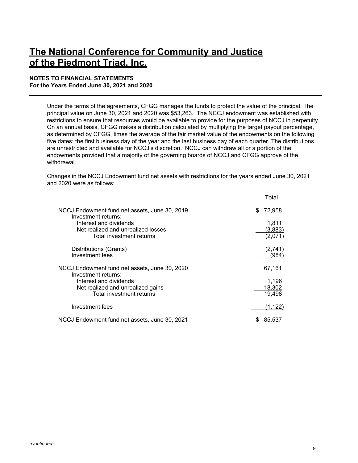#### **NOTES TO FINANCIAL STATEMENTS For the Years Ended June 30, 2021 and 2020**

Under the terms of the agreements, CFGG manages the funds to protect the value of the principal. The principal value on June 30, 2021 and 2020 was \$53,263. The NCCJ endowment was established with restrictions to ensure that resources would be available to provide for the purposes of NCCJ in perpetuity. On an annual basis, CFGG makes a distribution calculated by multiplying the target payout percentage, as determined by CFGG, times the average of the fair market value of the endowments on the following five dates: the first business day of the year and the last business day of each quarter. The distributions are unrestricted and available for NCCJ's discretion. NCCJ can withdraw all or a portion of the endowments provided that a majority of the governing boards of NCCJ and CFGG approve of the withdrawal.

Changes in the NCCJ Endowment fund net assets with restrictions for the years ended June 30, 2021 and 2020 were as follows:

|                                                                                          | <u>Lotal</u>                |
|------------------------------------------------------------------------------------------|-----------------------------|
| NCCJ Endowment fund net assets, June 30, 2019<br>Investment returns:                     | \$<br>72,958                |
| Interest and dividends<br>Net realized and unrealized losses<br>Total investment returns | 1.811<br>(3,883)<br>(2,071) |
| Distributions (Grants)<br>Investment fees                                                | (2,741)<br>'984`            |
| NCCJ Endowment fund net assets, June 30, 2020<br>Investment returns:                     | 67,161                      |
| Interest and dividends<br>Net realized and unrealized gains<br>Total investment returns  | 1,196<br>18,302<br>19,498   |
| Investment fees                                                                          | (1.122)                     |
| NCCJ Endowment fund net assets, June 30, 2021                                            | 85.5                        |

 $\pm 1$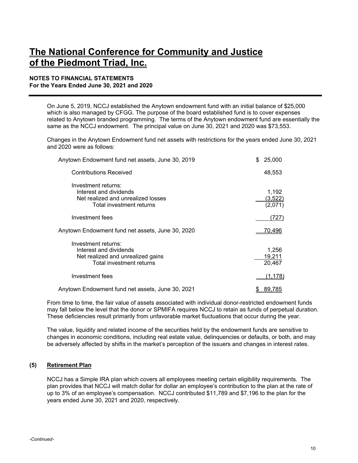#### **NOTES TO FINANCIAL STATEMENTS For the Years Ended June 30, 2021 and 2020**

On June 5, 2019, NCCJ established the Anytown endowment fund with an initial balance of \$25,000 which is also managed by CFGG. The purpose of the board established fund is to cover expenses related to Anytown branded programming. The terms of the Anytown endowment fund are essentially the same as the NCCJ endowment. The principal value on June 30, 2021 and 2020 was \$73,553.

Changes in the Anytown Endowment fund net assets with restrictions for the years ended June 30, 2021 and 2020 were as follows:

| Anytown Endowment fund net assets, June 30, 2019                                                                | \$<br>25,000               |
|-----------------------------------------------------------------------------------------------------------------|----------------------------|
| <b>Contributions Received</b>                                                                                   | 48,553                     |
| Investment returns:<br>Interest and dividends<br>Net realized and unrealized losses<br>Total investment returns | 1,192<br>(3.522)<br>(2,071 |
| Investment fees                                                                                                 | (727)                      |
| Anytown Endowment fund net assets, June 30, 2020                                                                | 70,496                     |
| Investment returns:<br>Interest and dividends<br>Net realized and unrealized gains<br>Total investment returns  | 1,256<br>19.211<br>20,467  |
| Investment fees                                                                                                 | (1,178)                    |
| Anytown Endowment fund net assets, June 30, 2021                                                                | 89.785                     |

From time to time, the fair value of assets associated with individual donor-restricted endowment funds may fall below the level that the donor or SPMIFA requires NCCJ to retain as funds of perpetual duration. These deficiencies result primarily from unfavorable market fluctuations that occur during the year.

The value, liquidity and related income of the securities held by the endowment funds are sensitive to changes in economic conditions, including real estate value, delinquencies or defaults, or both, and may be adversely affected by shifts in the market's perception of the issuers and changes in interest rates.

#### **(5) Retirement Plan**

NCCJ has a Simple IRA plan which covers all employees meeting certain eligibility requirements. The plan provides that NCCJ will match dollar for dollar an employee's contribution to the plan at the rate of up to 3% of an employee's compensation. NCCJ contributed \$11,789 and \$7,196 to the plan for the years ended June 30, 2021 and 2020, respectively.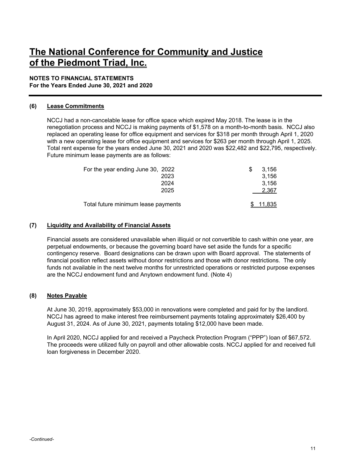#### **NOTES TO FINANCIAL STATEMENTS**

**For the Years Ended June 30, 2021 and 2020** 

#### **(6) Lease Commitments**

NCCJ had a non-cancelable lease for office space which expired May 2018. The lease is in the renegotiation process and NCCJ is making payments of \$1,578 on a month-to-month basis. NCCJ also replaced an operating lease for office equipment and services for \$318 per month through April 1, 2020 with a new operating lease for office equipment and services for \$263 per month through April 1, 2025. Total rent expense for the years ended June 30, 2021 and 2020 was \$22,482 and \$22,795, respectively. Future minimum lease payments are as follows:

| For the year ending June 30, 2022   | 3.156  |
|-------------------------------------|--------|
| 2023                                | 3,156  |
| 2024                                | 3.156  |
| 2025                                | 2.367  |
| Total future minimum lease payments | 11.835 |

#### **(7) Liquidity and Availability of Financial Assets**

Financial assets are considered unavailable when illiquid or not convertible to cash within one year, are perpetual endowments, or because the governing board have set aside the funds for a specific contingency reserve. Board designations can be drawn upon with Board approval. The statements of financial position reflect assets without donor restrictions and those with donor restrictions. The only funds not available in the next twelve months for unrestricted operations or restricted purpose expenses are the NCCJ endowment fund and Anytown endowment fund. (Note 4)

#### **(8) Notes Payable**

At June 30, 2019, approximately \$53,000 in renovations were completed and paid for by the landlord. NCCJ has agreed to make interest free reimbursement payments totaling approximately \$26,400 by August 31, 2024. As of June 30, 2021, payments totaling \$12,000 have been made.

In April 2020, NCCJ applied for and received a Paycheck Protection Program ("PPP") loan of \$67,572. The proceeds were utilized fully on payroll and other allowable costs. NCCJ applied for and received full loan forgiveness in December 2020.